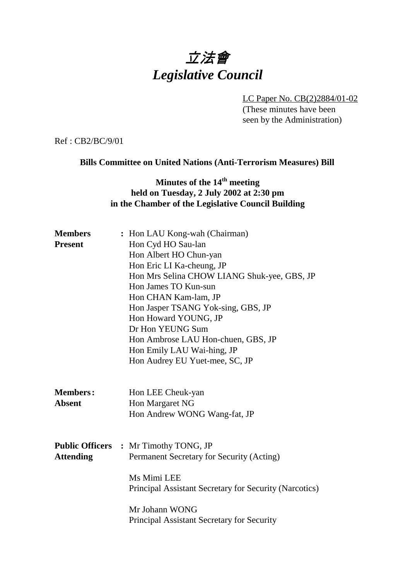# 立法會 *Legislative Council*

LC Paper No. CB(2)2884/01-02 (These minutes have been seen by the Administration)

Ref : CB2/BC/9/01

#### **Bills Committee on United Nations (Anti-Terrorism Measures) Bill**

## **Minutes of the 14<sup>th</sup> meeting held on Tuesday, 2 July 2002 at 2:30 pm in the Chamber of the Legislative Council Building**

| <b>Members</b><br><b>Present</b> | : Hon LAU Kong-wah (Chairman)<br>Hon Cyd HO Sau-lan<br>Hon Albert HO Chun-yan<br>Hon Eric LI Ka-cheung, JP<br>Hon Mrs Selina CHOW LIANG Shuk-yee, GBS, JP<br>Hon James TO Kun-sun<br>Hon CHAN Kam-lam, JP<br>Hon Jasper TSANG Yok-sing, GBS, JP<br>Hon Howard YOUNG, JP<br>Dr Hon YEUNG Sum<br>Hon Ambrose LAU Hon-chuen, GBS, JP<br>Hon Emily LAU Wai-hing, JP<br>Hon Audrey EU Yuet-mee, SC, JP |
|----------------------------------|---------------------------------------------------------------------------------------------------------------------------------------------------------------------------------------------------------------------------------------------------------------------------------------------------------------------------------------------------------------------------------------------------|
| <b>Members:</b><br><b>Absent</b> | Hon LEE Cheuk-yan<br>Hon Margaret NG<br>Hon Andrew WONG Wang-fat, JP                                                                                                                                                                                                                                                                                                                              |
| <b>Attending</b>                 | <b>Public Officers : Mr Timothy TONG, JP</b><br>Permanent Secretary for Security (Acting)<br>Ms Mimi LEE<br>Principal Assistant Secretary for Security (Narcotics)<br>Mr Johann WONG<br><b>Principal Assistant Secretary for Security</b>                                                                                                                                                         |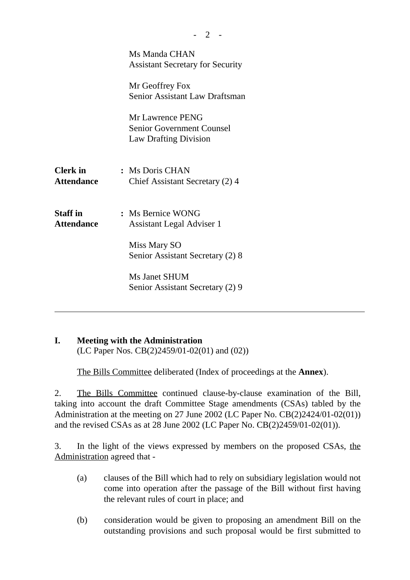|                                      | Ms Manda CHAN<br><b>Assistant Secretary for Security</b>                              |
|--------------------------------------|---------------------------------------------------------------------------------------|
|                                      | Mr Geoffrey Fox<br>Senior Assistant Law Draftsman                                     |
|                                      | Mr Lawrence PENG<br><b>Senior Government Counsel</b><br><b>Law Drafting Division</b>  |
| <b>Clerk</b> in<br><b>Attendance</b> | : Ms Doris CHAN<br>Chief Assistant Secretary (2) 4                                    |
| <b>Staff</b> in<br><b>Attendance</b> | : Ms Bernice WONG<br><b>Assistant Legal Adviser 1</b><br>Miss Mary SO                 |
|                                      | Senior Assistant Secretary (2) 8<br>Ms Janet SHUM<br>Senior Assistant Secretary (2) 9 |

#### **I. Meeting with the Administration**

(LC Paper Nos. CB(2)2459/01-02(01) and (02))

The Bills Committee deliberated (Index of proceedings at the **Annex**).

2. The Bills Committee continued clause-by-clause examination of the Bill, taking into account the draft Committee Stage amendments (CSAs) tabled by the Administration at the meeting on 27 June 2002 (LC Paper No. CB(2)2424/01-02(01)) and the revised CSAs as at 28 June 2002 (LC Paper No. CB(2)2459/01-02(01)).

3. In the light of the views expressed by members on the proposed CSAs, the Administration agreed that -

- (a) clauses of the Bill which had to rely on subsidiary legislation would not come into operation after the passage of the Bill without first having the relevant rules of court in place; and
- (b) consideration would be given to proposing an amendment Bill on the outstanding provisions and such proposal would be first submitted to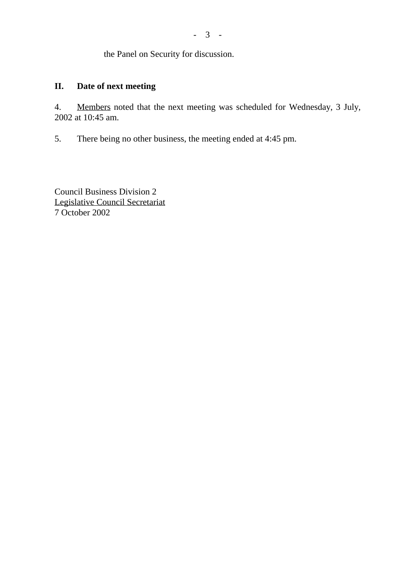the Panel on Security for discussion.

### **II. Date of next meeting**

4. Members noted that the next meeting was scheduled for Wednesday, 3 July, 2002 at 10:45 am.

5. There being no other business, the meeting ended at 4:45 pm.

Council Business Division 2 Legislative Council Secretariat 7 October 2002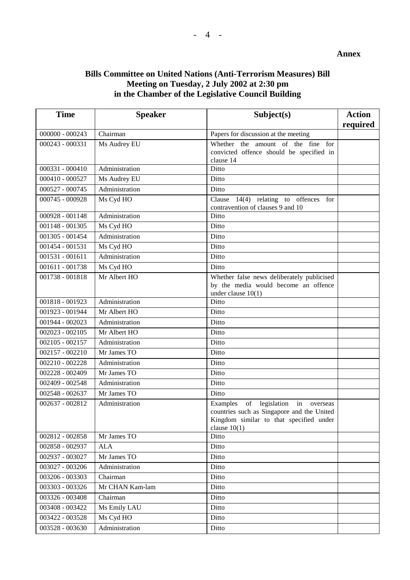#### **Annex**

### **Bills Committee on United Nations (Anti-Terrorism Measures) Bill Meeting on Tuesday, 2 July 2002 at 2:30 pm in the Chamber of the Legislative Council Building**

| <b>Time</b>       | <b>Speaker</b>  | Subject(s)                                                                                                                                           | <b>Action</b><br>required |
|-------------------|-----------------|------------------------------------------------------------------------------------------------------------------------------------------------------|---------------------------|
| $000000 - 000243$ | Chairman        | Papers for discussion at the meeting                                                                                                                 |                           |
| 000243 - 000331   | Ms Audrey EU    | Whether the amount of the fine for<br>convicted offence should be specified in<br>clause 14                                                          |                           |
| 000331 - 000410   | Administration  | Ditto                                                                                                                                                |                           |
| 000410 - 000527   | Ms Audrey EU    | Ditto                                                                                                                                                |                           |
| 000527 - 000745   | Administration  | Ditto                                                                                                                                                |                           |
| 000745 - 000928   | Ms Cyd HO       | Clause $14(4)$ relating to offences for<br>contravention of clauses 9 and 10                                                                         |                           |
| 000928 - 001148   | Administration  | Ditto                                                                                                                                                |                           |
| 001148 - 001305   | Ms Cyd HO       | Ditto                                                                                                                                                |                           |
| 001305 - 001454   | Administration  | Ditto                                                                                                                                                |                           |
| 001454 - 001531   | Ms Cyd HO       | Ditto                                                                                                                                                |                           |
| $001531 - 001611$ | Administration  | Ditto                                                                                                                                                |                           |
| 001611 - 001738   | Ms Cyd HO       | Ditto                                                                                                                                                |                           |
| 001738 - 001818   | Mr Albert HO    | Whether false news deliberately publicised<br>by the media would become an offence<br>under clause $10(1)$                                           |                           |
| 001818 - 001923   | Administration  | Ditto                                                                                                                                                |                           |
| 001923 - 001944   | Mr Albert HO    | Ditto                                                                                                                                                |                           |
| 001944 - 002023   | Administration  | Ditto                                                                                                                                                |                           |
| $002023 - 002105$ | Mr Albert HO    | Ditto                                                                                                                                                |                           |
| $002105 - 002157$ | Administration  | Ditto                                                                                                                                                |                           |
| $002157 - 002210$ | Mr James TO     | Ditto                                                                                                                                                |                           |
| 002210 - 002228   | Administration  | Ditto                                                                                                                                                |                           |
| 002228 - 002409   | Mr James TO     | Ditto                                                                                                                                                |                           |
| 002409 - 002548   | Administration  | Ditto                                                                                                                                                |                           |
| 002548 - 002637   | Mr James TO     | Ditto                                                                                                                                                |                           |
| 002637 - 002812   | Administration  | of legislation in<br>Examples<br>overseas<br>countries such as Singapore and the United<br>Kingdom similar to that specified under<br>clause $10(1)$ |                           |
| 002812 - 002858   | Mr James TO     | Ditto                                                                                                                                                |                           |
| 002858 - 002937   | <b>ALA</b>      | Ditto                                                                                                                                                |                           |
| 002937 - 003027   | Mr James TO     | Ditto                                                                                                                                                |                           |
| 003027 - 003206   | Administration  | Ditto                                                                                                                                                |                           |
| 003206 - 003303   | Chairman        | Ditto                                                                                                                                                |                           |
| 003303 - 003326   | Mr CHAN Kam-lam | Ditto                                                                                                                                                |                           |
| 003326 - 003408   | Chairman        | Ditto                                                                                                                                                |                           |
| 003408 - 003422   | Ms Emily LAU    | Ditto                                                                                                                                                |                           |
| 003422 - 003528   | Ms Cyd HO       | Ditto                                                                                                                                                |                           |
| 003528 - 003630   | Administration  | Ditto                                                                                                                                                |                           |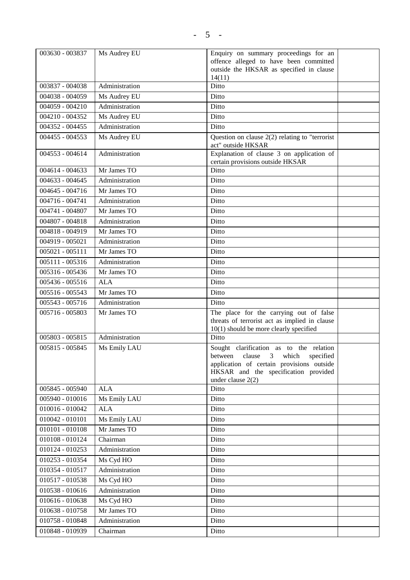| 003630 - 003837              | Ms Audrey EU   | Enquiry on summary proceedings for an<br>offence alleged to have been committed<br>outside the HKSAR as specified in clause<br>14(11) |  |
|------------------------------|----------------|---------------------------------------------------------------------------------------------------------------------------------------|--|
| 003837 - 004038              | Administration | Ditto                                                                                                                                 |  |
| 004038 - 004059              | Ms Audrey EU   | Ditto                                                                                                                                 |  |
| $004059 - 004210$            | Administration | Ditto                                                                                                                                 |  |
| 004210 - 004352              | Ms Audrey EU   | Ditto                                                                                                                                 |  |
| 004352 - 004455              | Administration | Ditto                                                                                                                                 |  |
| 004455 - 004553              | Ms Audrey EU   | Question on clause $2(2)$ relating to "terrorist"<br>act" outside HKSAR                                                               |  |
| 004553 - 004614              | Administration | Explanation of clause 3 on application of<br>certain provisions outside HKSAR                                                         |  |
| 004614 - 004633              | Mr James TO    | Ditto                                                                                                                                 |  |
| 004633 - 004645              | Administration | Ditto                                                                                                                                 |  |
| 004645 - 004716              | Mr James TO    | Ditto                                                                                                                                 |  |
| 004716 - 004741              | Administration | Ditto                                                                                                                                 |  |
| 004741 - 004807              | Mr James TO    | Ditto                                                                                                                                 |  |
| 004807 - 004818              | Administration | Ditto                                                                                                                                 |  |
| 004818 - 004919              | Mr James TO    | Ditto                                                                                                                                 |  |
| 004919 - 005021              | Administration | Ditto                                                                                                                                 |  |
| $005021 - 005111$            | Mr James TO    | Ditto                                                                                                                                 |  |
| 005111 - 005316              | Administration | Ditto                                                                                                                                 |  |
| 005316 - 005436              | Mr James TO    | Ditto                                                                                                                                 |  |
| 005436 - 005516              | <b>ALA</b>     | Ditto                                                                                                                                 |  |
| 005516 - 005543              | Mr James TO    | Ditto                                                                                                                                 |  |
| 005543 - 005716              | Administration | Ditto                                                                                                                                 |  |
| 005716 - 005803              | Mr James TO    | The place for the carrying out of false                                                                                               |  |
|                              |                | threats of terrorist act as implied in clause                                                                                         |  |
| 005803 - 005815              | Administration | $10(1)$ should be more clearly specified<br>Ditto                                                                                     |  |
| 005815 - 005845              |                |                                                                                                                                       |  |
|                              | Ms Emily LAU   | Sought clarification as to the relation<br>between clause 3 which specified                                                           |  |
|                              |                | application of certain provisions outside<br>HKSAR and the specification provided                                                     |  |
|                              |                | under clause $2(2)$                                                                                                                   |  |
| 005845 - 005940              | <b>ALA</b>     | Ditto                                                                                                                                 |  |
| 005940 - 010016              | Ms Emily LAU   | Ditto                                                                                                                                 |  |
| 010016 - 010042              | <b>ALA</b>     | Ditto                                                                                                                                 |  |
| $010042 - 010101$            | Ms Emily LAU   | Ditto                                                                                                                                 |  |
| $010101 - 010108$            | Mr James TO    | Ditto                                                                                                                                 |  |
| 010108 - 010124              | Chairman       | Ditto                                                                                                                                 |  |
| 010124 - 010253              | Administration | Ditto                                                                                                                                 |  |
| 010253 - 010354              | Ms Cyd HO      | Ditto                                                                                                                                 |  |
| 010354 - 010517              | Administration | Ditto                                                                                                                                 |  |
| 010517 - 010538              | Ms Cyd HO      | Ditto                                                                                                                                 |  |
| 010538 - 010616              | Administration | Ditto                                                                                                                                 |  |
| 010616 - 010638              | Ms Cyd HO      | Ditto                                                                                                                                 |  |
| 010638 - 010758              | Mr James TO    | Ditto                                                                                                                                 |  |
| 010758 - 010848              | Administration | Ditto                                                                                                                                 |  |
| $\overline{010848} - 010939$ | Chairman       | Ditto                                                                                                                                 |  |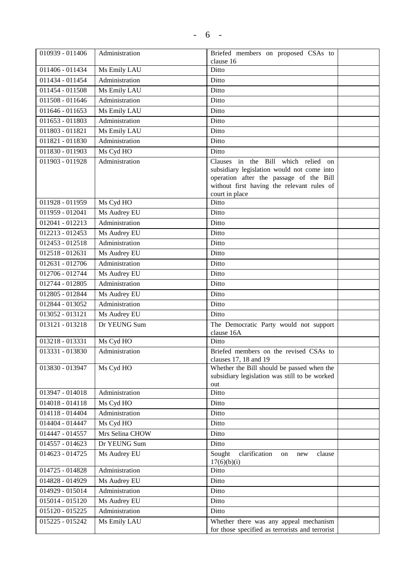| 010939 - 011406 | Administration  | Briefed members on proposed CSAs to<br>clause 16                                            |
|-----------------|-----------------|---------------------------------------------------------------------------------------------|
| 011406 - 011434 | Ms Emily LAU    | Ditto                                                                                       |
| 011434 - 011454 | Administration  | Ditto                                                                                       |
| 011454 - 011508 | Ms Emily LAU    | Ditto                                                                                       |
| 011508 - 011646 | Administration  | Ditto                                                                                       |
| 011646 - 011653 | Ms Emily LAU    | Ditto                                                                                       |
| 011653 - 011803 | Administration  | Ditto                                                                                       |
| 011803 - 011821 | Ms Emily LAU    | Ditto                                                                                       |
| 011821 - 011830 | Administration  | Ditto                                                                                       |
| 011830 - 011903 | Ms Cyd HO       | Ditto                                                                                       |
| 011903 - 011928 | Administration  | Clauses in the Bill which relied on                                                         |
|                 |                 | subsidiary legislation would not come into                                                  |
|                 |                 | operation after the passage of the Bill                                                     |
|                 |                 | without first having the relevant rules of                                                  |
| 011928 - 011959 |                 | court in place<br>Ditto                                                                     |
|                 | Ms Cyd HO       | Ditto                                                                                       |
| 011959 - 012041 | Ms Audrey EU    |                                                                                             |
| 012041 - 012213 | Administration  | Ditto                                                                                       |
| 012213 - 012453 | Ms Audrey EU    | Ditto                                                                                       |
| 012453 - 012518 | Administration  | Ditto                                                                                       |
| 012518 - 012631 | Ms Audrey EU    | Ditto                                                                                       |
| 012631 - 012706 | Administration  | Ditto                                                                                       |
| 012706 - 012744 | Ms Audrey EU    | Ditto                                                                                       |
| 012744 - 012805 | Administration  | Ditto                                                                                       |
| 012805 - 012844 | Ms Audrey EU    | Ditto                                                                                       |
| 012844 - 013052 | Administration  | Ditto                                                                                       |
| 013052 - 013121 | Ms Audrey EU    | Ditto                                                                                       |
| 013121 - 013218 | Dr YEUNG Sum    | The Democratic Party would not support<br>clause 16A                                        |
| 013218 - 013331 | Ms Cyd HO       | Ditto                                                                                       |
| 013331 - 013830 | Administration  | Briefed members on the revised CSAs to                                                      |
|                 |                 | clauses $17$ , $18$ and $19$                                                                |
| 013830 - 013947 | Ms Cyd HO       | Whether the Bill should be passed when the<br>subsidiary legislation was still to be worked |
|                 |                 | out                                                                                         |
| 013947 - 014018 | Administration  | Ditto                                                                                       |
| 014018 - 014118 | Ms Cyd HO       | Ditto                                                                                       |
| 014118 - 014404 | Administration  | Ditto                                                                                       |
| 014404 - 014447 | Ms Cyd HO       | Ditto                                                                                       |
| 014447 - 014557 | Mrs Selina CHOW | Ditto                                                                                       |
| 014557 - 014623 | Dr YEUNG Sum    | Ditto                                                                                       |
| 014623 - 014725 | Ms Audrey EU    | Sought<br>clarification<br>clause<br>on<br>new<br>17(6)(b)(i)                               |
| 014725 - 014828 | Administration  | Ditto                                                                                       |
| 014828 - 014929 | Ms Audrey EU    | Ditto                                                                                       |
| 014929 - 015014 | Administration  | Ditto                                                                                       |
| 015014 - 015120 | Ms Audrey EU    | Ditto                                                                                       |
| 015120 - 015225 | Administration  | Ditto                                                                                       |
| 015225 - 015242 | Ms Emily LAU    | Whether there was any appeal mechanism                                                      |
|                 |                 | for those specified as terrorists and terrorist                                             |

 $\mathsf{l}$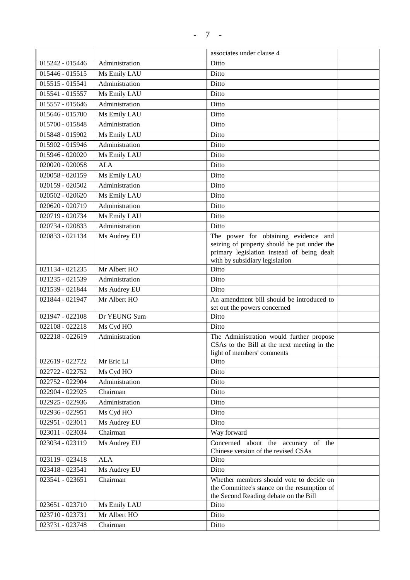|                   |                | associates under clause 4                                                                                                        |  |
|-------------------|----------------|----------------------------------------------------------------------------------------------------------------------------------|--|
| 015242 - 015446   | Administration | Ditto                                                                                                                            |  |
| $015446 - 015515$ | Ms Emily LAU   | Ditto                                                                                                                            |  |
| 015515 - 015541   | Administration | Ditto                                                                                                                            |  |
| 015541 - 015557   | Ms Emily LAU   | Ditto                                                                                                                            |  |
| 015557 - 015646   | Administration | Ditto                                                                                                                            |  |
| 015646 - 015700   | Ms Emily LAU   | Ditto                                                                                                                            |  |
| 015700 - 015848   | Administration | Ditto                                                                                                                            |  |
| 015848 - 015902   | Ms Emily LAU   | Ditto                                                                                                                            |  |
| 015902 - 015946   | Administration | Ditto                                                                                                                            |  |
| 015946 - 020020   | Ms Emily LAU   | Ditto                                                                                                                            |  |
| 020020 - 020058   | <b>ALA</b>     | Ditto                                                                                                                            |  |
| 020058 - 020159   | Ms Emily LAU   | Ditto                                                                                                                            |  |
| 020159 - 020502   | Administration | Ditto                                                                                                                            |  |
| 020502 - 020620   | Ms Emily LAU   | Ditto                                                                                                                            |  |
| 020620 - 020719   | Administration | Ditto                                                                                                                            |  |
| 020719 - 020734   | Ms Emily LAU   | Ditto                                                                                                                            |  |
| 020734 - 020833   | Administration | Ditto                                                                                                                            |  |
| 020833 - 021134   | Ms Audrey EU   | The power for obtaining evidence and                                                                                             |  |
|                   |                | seizing of property should be put under the<br>primary legislation instead of being dealt<br>with by subsidiary legislation      |  |
| 021134 - 021235   | Mr Albert HO   | Ditto                                                                                                                            |  |
| 021235 - 021539   | Administration | Ditto                                                                                                                            |  |
| 021539 - 021844   | Ms Audrey EU   | Ditto                                                                                                                            |  |
| 021844 - 021947   | Mr Albert HO   | An amendment bill should be introduced to<br>set out the powers concerned                                                        |  |
| 021947 - 022108   | Dr YEUNG Sum   | Ditto                                                                                                                            |  |
| 022108 - 022218   | Ms Cyd HO      | Ditto                                                                                                                            |  |
| 022218 - 022619   | Administration | The Administration would further propose<br>CSAs to the Bill at the next meeting in the<br>light of members' comments            |  |
| 022619 - 022722   | Mr Eric LI     | Ditto                                                                                                                            |  |
| 022722 - 022752   | Ms Cyd HO      | Ditto                                                                                                                            |  |
| 022752 - 022904   | Administration | Ditto                                                                                                                            |  |
| 022904 - 022925   | Chairman       | Ditto                                                                                                                            |  |
| 022925 - 022936   | Administration | Ditto                                                                                                                            |  |
| 022936 - 022951   | Ms Cyd HO      | Ditto                                                                                                                            |  |
| 022951 - 023011   | Ms Audrey EU   | Ditto                                                                                                                            |  |
| 023011 - 023034   | Chairman       | Way forward                                                                                                                      |  |
| 023034 - 023119   | Ms Audrey EU   | Concerned about the accuracy of the<br>Chinese version of the revised CSAs                                                       |  |
| 023119 - 023418   | <b>ALA</b>     | Ditto                                                                                                                            |  |
| 023418 - 023541   | Ms Audrey EU   | Ditto                                                                                                                            |  |
| 023541 - 023651   | Chairman       | Whether members should vote to decide on<br>the Committee's stance on the resumption of<br>the Second Reading debate on the Bill |  |
| 023651 - 023710   | Ms Emily LAU   | Ditto                                                                                                                            |  |

023710 - 023731 Mr Albert HO Ditto 023731 - 023748 Chairman Ditto